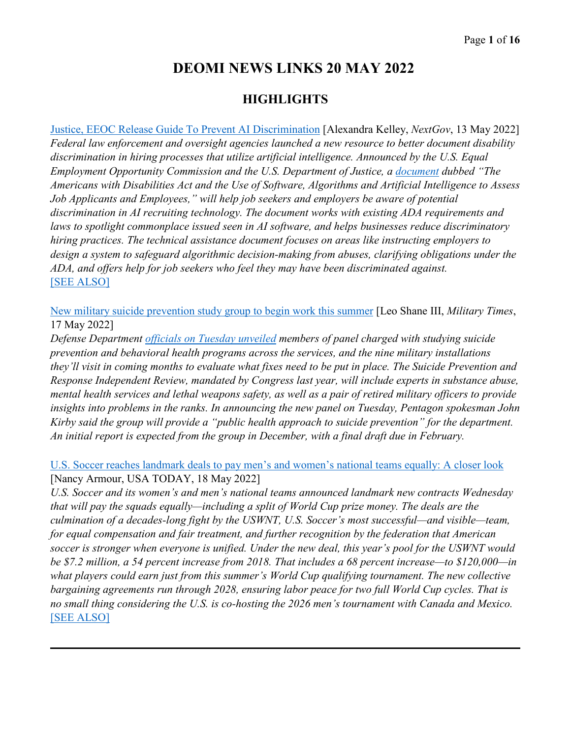# **DEOMI NEWS LINKS 20 MAY 2022**

## **HIGHLIGHTS**

[Justice, EEOC Release Guide To Prevent AI Discrimination](https://www.nextgov.com/emerging-tech/2022/05/justice-eeoc-release-guide-prevent-ai-discrimination/366887/) [Alexandra Kelley, *NextGov*, 13 May 2022] *Federal law enforcement and oversight agencies launched a new resource to better document disability discrimination in hiring processes that utilize artificial intelligence. Announced by the U.S. Equal Employment Opportunity Commission and the U.S. Department of Justice, a [document](https://www.eeoc.gov/laws/guidance/americans-disabilities-act-and-use-software-algorithms-and-artificial-intelligence) dubbed "The Americans with Disabilities Act and the Use of Software, Algorithms and Artificial Intelligence to Assess Job Applicants and Employees," will help job seekers and employers be aware of potential discrimination in AI recruiting technology. The document works with existing ADA requirements and laws to spotlight commonplace issued seen in AI software, and helps businesses reduce discriminatory hiring practices. The technical assistance document focuses on areas like instructing employers to design a system to safeguard algorithmic decision-making from abuses, clarifying obligations under the ADA, and offers help for job seekers who feel they may have been discriminated against.*  [\[SEE ALSO\]](https://www.nextgov.com/cxo-briefing/2022/05/ice-has-assembled-surveillance-dragnet-facial-recognition-and-data-report-says/366826/)

[New military suicide prevention study group to begin work this summer](https://www.militarytimes.com/news/pentagon-congress/2022/05/17/new-military-suicide-prevention-study-group-to-begin-work-this-summer/) [Leo Shane III, *Military Times*, 17 May 2022]

*Defense Department [officials on Tuesday unveiled](https://media.defense.gov/2022/May/17/2002999389/-1/-1/0/USD-PR-MEMO-SUICIDE-PREVENTION-AND-RESPONSE-INDEPENDENT-REVIEW-COMMITTEE.PDF) members of panel charged with studying suicide prevention and behavioral health programs across the services, and the nine military installations they'll visit in coming months to evaluate what fixes need to be put in place. The Suicide Prevention and Response Independent Review, mandated by Congress last year, will include experts in substance abuse, mental health services and lethal weapons safety, as well as a pair of retired military officers to provide insights into problems in the ranks. In announcing the new panel on Tuesday, Pentagon spokesman John Kirby said the group will provide a "public health approach to suicide prevention" for the department. An initial report is expected from the group in December, with a final draft due in February.* 

[U.S. Soccer reaches landmark deals to pay men's and women's national teams equally: A closer look](https://www.usatoday.com/story/sports/soccer/2022/05/18/us-soccer-cba-deal-explainer-womens-mens/9819845002/) [Nancy Armour, USA TODAY, 18 May 2022]

*U.S. Soccer and its women's and men's national teams announced landmark new contracts Wednesday that will pay the squads equally—including a split of World Cup prize money. The deals are the culmination of a decades-long fight by the USWNT, U.S. Soccer's most successful—and visible—team, for equal compensation and fair treatment, and further recognition by the federation that American soccer is stronger when everyone is unified. Under the new deal, this year's pool for the USWNT would be \$7.2 million, a 54 percent increase from 2018. That includes a 68 percent increase—to \$120,000—in what players could earn just from this summer's World Cup qualifying tournament. The new collective bargaining agreements run through 2028, ensuring labor peace for two full World Cup cycles. That is no small thing considering the U.S. is co-hosting the 2026 men's tournament with Canada and Mexico.*  [\[SEE ALSO\]](https://19thnews.org/2022/05/us-soccer-mens-womens-teams-equal-prize-compensation-deal/)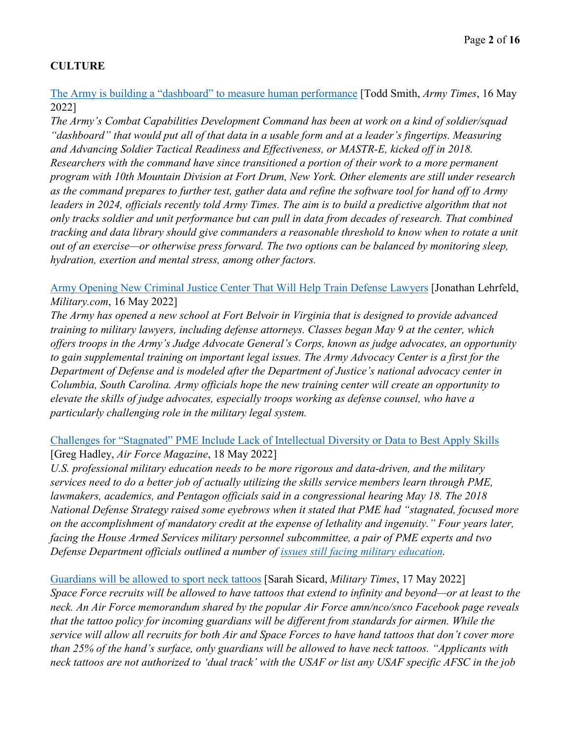## **CULTURE**

[The Army is building a "dashboard" to measure human performance](https://www.armytimes.com/news/your-army/2022/05/16/the-army-is-building-a-dashboard-to-measure-human-performance/) [Todd Smith, *Army Times*, 16 May 2022]

*The Army's Combat Capabilities Development Command has been at work on a kind of soldier/squad "dashboard" that would put all of that data in a usable form and at a leader's fingertips. Measuring and Advancing Soldier Tactical Readiness and Effectiveness, or MASTR-E, kicked off in 2018. Researchers with the command have since transitioned a portion of their work to a more permanent program with 10th Mountain Division at Fort Drum, New York. Other elements are still under research as the command prepares to further test, gather data and refine the software tool for hand off to Army leaders in 2024, officials recently told Army Times. The aim is to build a predictive algorithm that not only tracks soldier and unit performance but can pull in data from decades of research. That combined tracking and data library should give commanders a reasonable threshold to know when to rotate a unit out of an exercise—or otherwise press forward. The two options can be balanced by monitoring sleep, hydration, exertion and mental stress, among other factors.* 

[Army Opening New Criminal Justice Center That Will Help Train Defense Lawyers](https://www.military.com/daily-news/2022/05/16/army-opening-new-criminal-justice-center-will-help-train-defense-lawyers.html) [Jonathan Lehrfeld, *Military.com*, 16 May 2022]

*The Army has opened a new school at Fort Belvoir in Virginia that is designed to provide advanced training to military lawyers, including defense attorneys. Classes began May 9 at the center, which offers troops in the Army's Judge Advocate General's Corps, known as judge advocates, an opportunity to gain supplemental training on important legal issues. The Army Advocacy Center is a first for the Department of Defense and is modeled after the Department of Justice's national advocacy center in Columbia, South Carolina. Army officials hope the new training center will create an opportunity to elevate the skills of judge advocates, especially troops working as defense counsel, who have a particularly challenging role in the military legal system.*

## Challenges for "Stagnated" [PME Include Lack of Intellectual Diversity or Data to Best Apply Skills](https://www.airforcemag.com/challenges-for-stagnated-pme-include-lack-of-intellectual-diversity-or-data-to-best-apply-skills/) [Greg Hadley, *Air Force Magazine*, 18 May 2022]

*U.S. professional military education needs to be more rigorous and data-driven, and the military services need to do a better job of actually utilizing the skills service members learn through PME, lawmakers, academics, and Pentagon officials said in a congressional hearing May 18. The 2018 National Defense Strategy raised some eyebrows when it stated that PME had "stagnated, focused more on the accomplishment of mandatory credit at the expense of lethality and ingenuity." Four years later, facing the House Armed Services military personnel subcommittee, a pair of PME experts and two Defense Department officials outlined a number of [issues still facing military education.](https://www.airforcemag.com/dod-to-unveil-new-vision-for-joint-professional-military-education/)* 

[Guardians will be allowed to sport neck tattoos](https://www.militarytimes.com/off-duty/military-culture/2022/05/17/guardians-will-be-allowed-to-sport-neck-tattoos/) [Sarah Sicard, *Military Times*, 17 May 2022] *Space Force recruits will be allowed to have tattoos that extend to infinity and beyond—or at least to the neck. An Air Force memorandum shared by the popular Air Force amn/nco/snco Facebook page reveals that the tattoo policy for incoming guardians will be different from standards for airmen. While the service will allow all recruits for both Air and Space Forces to have hand tattoos that don't cover more than 25% of the hand's surface, only guardians will be allowed to have neck tattoos. "Applicants with neck tattoos are not authorized to 'dual track' with the USAF or list any USAF specific AFSC in the job*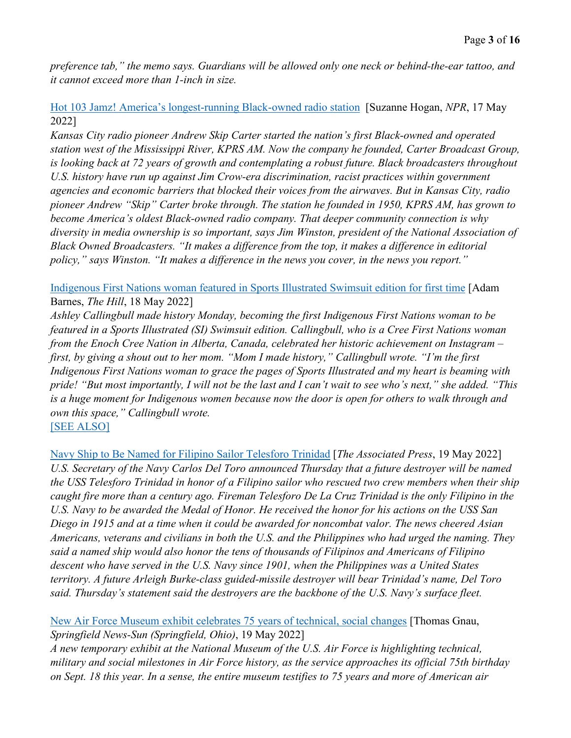*preference tab," the memo says. Guardians will be allowed only one neck or behind-the-ear tattoo, and it cannot exceed more than 1-inch in size.* 

[Hot 103 Jamz! America's longest-running Black-owned radio station](https://www.kcur.org/arts-life/2022-05-17/hot-103-jamz-americas-longest-running-black-owned-radio-station) [Suzanne Hogan, *NPR*, 17 May 2022]

*Kansas City radio pioneer Andrew Skip Carter started the nation's first Black-owned and operated station west of the Mississippi River, KPRS AM. Now the company he founded, Carter Broadcast Group, is looking back at 72 years of growth and contemplating a robust future. Black broadcasters throughout*  U.S. history have run up against Jim Crow-era discrimination, racist practices within government *agencies and economic barriers that blocked their voices from the airwaves. But in Kansas City, radio pioneer Andrew "Skip" Carter broke through. The station he founded in 1950, KPRS AM, has grown to become America's oldest Black-owned radio company. That deeper community connection is why diversity in media ownership is so important, says Jim Winston, president of the National Association of Black Owned Broadcasters. "It makes a difference from the top, it makes a difference in editorial policy," says Winston. "It makes a difference in the news you cover, in the news you report."* 

[Indigenous First Nations woman featured in Sports Illustrated Swimsuit edition for first time](https://thehill.com/changing-america/respect/diversity-inclusion/3492947-indigenous-first-nations-woman-featured-in-sports-illustrated-swimsuit-edition-for-first-time/) [Adam Barnes, *The Hill*, 18 May 2022]

*Ashley Callingbull made history Monday, becoming the first Indigenous First Nations woman to be featured in a Sports Illustrated (SI) Swimsuit edition. Callingbull, who is a Cree First Nations woman from the Enoch Cree Nation in Alberta, Canada, celebrated her historic achievement on Instagram – first, by giving a shout out to her mom. "Mom I made history," Callingbull wrote. "I'm the first Indigenous First Nations woman to grace the pages of Sports Illustrated and my heart is beaming with pride! "But most importantly, I will not be the last and I can't wait to see who's next," she added. "This is a huge moment for Indigenous women because now the door is open for others to walk through and own this space," Callingbull wrote.*  [\[SEE ALSO\]](https://www.nbcnews.com/news/asian-america/jordan-peterson-twitter-sports-illustrated-swimsuit-yumi-nu-rcna29382)

[Navy Ship to Be Named for Filipino Sailor Telesforo Trinidad](https://apnews.com/article/politics-fires-asia-us-navy-65431dfbbbde55f34886ec6dd25662ef) [*The Associated Press*, 19 May 2022] *U.S. Secretary of the Navy Carlos Del Toro announced Thursday that a future destroyer will be named the USS Telesforo Trinidad in honor of a Filipino sailor who rescued two crew members when their ship caught fire more than a century ago. Fireman Telesforo De La Cruz Trinidad is the only Filipino in the U.S. Navy to be awarded the Medal of Honor. He received the honor for his actions on the USS San Diego in 1915 and at a time when it could be awarded for noncombat valor. The news cheered Asian Americans, veterans and civilians in both the U.S. and the Philippines who had urged the naming. They said a named ship would also honor the tens of thousands of Filipinos and Americans of Filipino descent who have served in the U.S. Navy since 1901, when the Philippines was a United States territory. A future Arleigh Burke-class guided-missile destroyer will bear Trinidad's name, Del Toro said. Thursday's statement said the destroyers are the backbone of the U.S. Navy's surface fleet.*

[New Air Force Museum exhibit celebrates 75 years of technical, social changes](https://www.springfieldnewssun.com/local/air-force-museum-opens-exhibit-celebrating-75-years-of-technical-social-changes/LEFP6QYMJFGE5IH62UST5UTG4I/) [Thomas Gnau, *Springfield News-Sun (Springfield, Ohio)*, 19 May 2022]

*A new temporary exhibit at the National Museum of the U.S. Air Force is highlighting technical, military and social milestones in Air Force history, as the service approaches its official 75th birthday on Sept. 18 this year. In a sense, the entire museum testifies to 75 years and more of American air*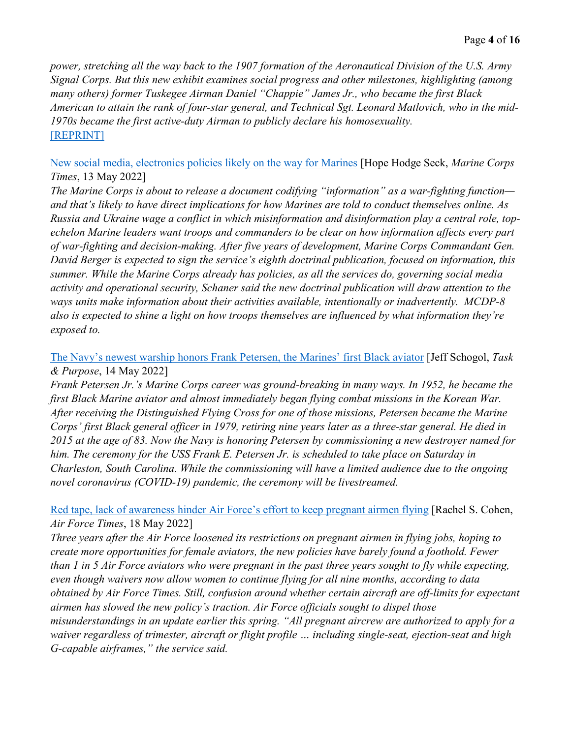*power, stretching all the way back to the 1907 formation of the Aeronautical Division of the U.S. Army Signal Corps. But this new exhibit examines social progress and other milestones, highlighting (among many others) former Tuskegee Airman Daniel "Chappie" James Jr., who became the first Black American to attain the rank of four-star general, and Technical Sgt. Leonard Matlovich, who in the mid-1970s became the first active-duty Airman to publicly declare his homosexuality.*  [\[REPRINT\]](https://www.stripes.com/branches/air_force/2022-05-19/air-force-museum-exhibit-75th-anniversary-technical-social-changes-6060092.html)

[New social media, electronics policies likely on the way for Marines](https://www.marinecorpstimes.com/news/modern-day-marine/2022/05/13/new-social-media-electronics-policies-likely-on-the-way-for-marines/) [Hope Hodge Seck, *Marine Corps Times*, 13 May 2022]

*The Marine Corps is about to release a document codifying "information" as a war-fighting function and that's likely to have direct implications for how Marines are told to conduct themselves online. As Russia and Ukraine wage a conflict in which misinformation and disinformation play a central role, topechelon Marine leaders want troops and commanders to be clear on how information affects every part of war-fighting and decision-making. After five years of development, Marine Corps Commandant Gen. David Berger is expected to sign the service's eighth doctrinal publication, focused on information, this summer. While the Marine Corps already has policies, as all the services do, governing social media activity and operational security, Schaner said the new doctrinal publication will draw attention to the ways units make information about their activities available, intentionally or inadvertently. MCDP-8 also is expected to shine a light on how troops themselves are influenced by what information they're exposed to.* 

## [The Navy's newest warship honors Frank Petersen, the Marines' first Black aviator](https://taskandpurpose.com/news/navy-destroyer-frank-petersen-first-black-marine-aviator/) [Jeff Schogol, *Task & Purpose*, 14 May 2022]

*Frank Petersen Jr.'s Marine Corps career was ground-breaking in many ways. In 1952, he became the first Black Marine aviator and almost immediately began flying combat missions in the Korean War. After receiving the Distinguished Flying Cross for one of those missions, Petersen became the Marine Corps' first Black general officer in 1979, retiring nine years later as a three-star general. He died in 2015 at the age of 83. Now the Navy is honoring Petersen by commissioning a new destroyer named for him. The ceremony for the USS Frank E. Petersen Jr. is scheduled to take place on Saturday in Charleston, South Carolina. While the commissioning will have a limited audience due to the ongoing novel coronavirus (COVID-19) pandemic, the ceremony will be livestreamed.* 

[Red tape, lack of awareness hinder Air Force's effort to keep pregnant airmen flying](https://www.airforcetimes.com/news/your-air-force/2022/05/18/red-tape-lack-of-awareness-hinder-air-forces-effort-to-keep-pregnant-airmen-flying/) [Rachel S. Cohen, *Air Force Times*, 18 May 2022]

*Three years after the Air Force loosened its restrictions on pregnant airmen in flying jobs, hoping to create more opportunities for female aviators, the new policies have barely found a foothold. Fewer than 1 in 5 Air Force aviators who were pregnant in the past three years sought to fly while expecting, even though waivers now allow women to continue flying for all nine months, according to data obtained by Air Force Times. Still, confusion around whether certain aircraft are off-limits for expectant airmen has slowed the new policy's traction. Air Force officials sought to dispel those misunderstandings in an update earlier this spring. "All pregnant aircrew are authorized to apply for a waiver regardless of trimester, aircraft or flight profile … including single-seat, ejection-seat and high G-capable airframes," the service said.*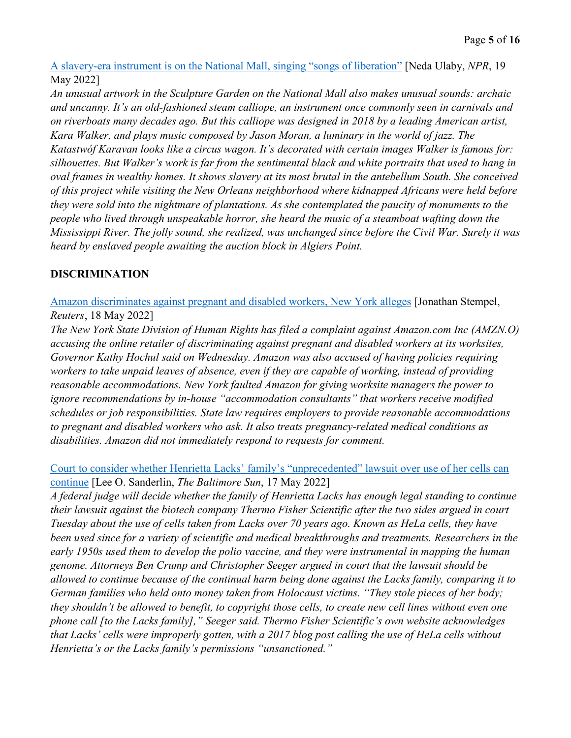A slavery-era instrument is [on the National Mall, singing "songs of liberation"](https://www.npr.org/2022/05/19/1099098205/a-slavery-era-instrument-is-on-the-national-mall-singing-songs-of-liberation) [Neda Ulaby, *NPR*, 19 May 2022]

*An unusual artwork in the Sculpture Garden on the National Mall also makes unusual sounds: archaic and uncanny. It's an old-fashioned steam calliope, an instrument once commonly seen in carnivals and on riverboats many decades ago. But this calliope was designed in 2018 by a leading American artist, Kara Walker, and plays music composed by Jason Moran, a luminary in the world of jazz. The Katastwóf Karavan looks like a circus wagon. It's decorated with certain images Walker is famous for: silhouettes. But Walker's work is far from the sentimental black and white portraits that used to hang in oval frames in wealthy homes. It shows slavery at its most brutal in the antebellum South. She conceived of this project while visiting the New Orleans neighborhood where kidnapped Africans were held before they were sold into the nightmare of plantations. As she contemplated the paucity of monuments to the people who lived through unspeakable horror, she heard the music of a steamboat wafting down the Mississippi River. The jolly sound, she realized, was unchanged since before the Civil War. Surely it was heard by enslaved people awaiting the auction block in Algiers Point.*

## **DISCRIMINATION**

[Amazon discriminates against pregnant and disabled workers, New York alleges](https://www.reuters.com/markets/us/new-york-agency-accuses-amazon-pregnancy-disability-discrimination-2022-05-18/) [Jonathan Stempel, *Reuters*, 18 May 2022]

*The New York State Division of Human Rights has filed a complaint against Amazon.com Inc (AMZN.O) accusing the online retailer of discriminating against pregnant and disabled workers at its worksites, Governor Kathy Hochul said on Wednesday. Amazon was also accused of having policies requiring workers to take unpaid leaves of absence, even if they are capable of working, instead of providing reasonable accommodations. New York faulted Amazon for giving worksite managers the power to ignore recommendations by in-house "accommodation consultants" that workers receive modified schedules or job responsibilities. State law requires employers to provide reasonable accommodations to pregnant and disabled workers who ask. It also treats pregnancy-related medical conditions as disabilities. Amazon did not immediately respond to requests for comment.* 

[Court to consider whether Henrietta Lacks' family's "unprecedented" lawsuit over use of her cells can](https://www.baltimoresun.com/maryland/bs-md-henrietta-lacks-family-speaks-out-lawsuit-progressing-20220517-i6fhffdm5rfqrp7seetpu2kpei-story.html)  [continue](https://www.baltimoresun.com/maryland/bs-md-henrietta-lacks-family-speaks-out-lawsuit-progressing-20220517-i6fhffdm5rfqrp7seetpu2kpei-story.html) [Lee O. Sanderlin, *The Baltimore Sun*, 17 May 2022]

*A federal judge will decide whether the family of Henrietta Lacks has enough legal standing to continue their lawsuit against the biotech company Thermo Fisher Scientific after the two sides argued in court Tuesday about the use of cells taken from Lacks over 70 years ago. Known as HeLa cells, they have been used since for a variety of scientific and medical breakthroughs and treatments. Researchers in the early 1950s used them to develop the polio vaccine, and they were instrumental in mapping the human genome. Attorneys Ben Crump and Christopher Seeger argued in court that the lawsuit should be allowed to continue because of the continual harm being done against the Lacks family, comparing it to German families who held onto money taken from Holocaust victims. "They stole pieces of her body; they shouldn't be allowed to benefit, to copyright those cells, to create new cell lines without even one phone call [to the Lacks family]," Seeger said. Thermo Fisher Scientific's own website acknowledges that Lacks' cells were improperly gotten, with a 2017 blog post calling the use of HeLa cells without Henrietta's or the Lacks family's permissions "unsanctioned."*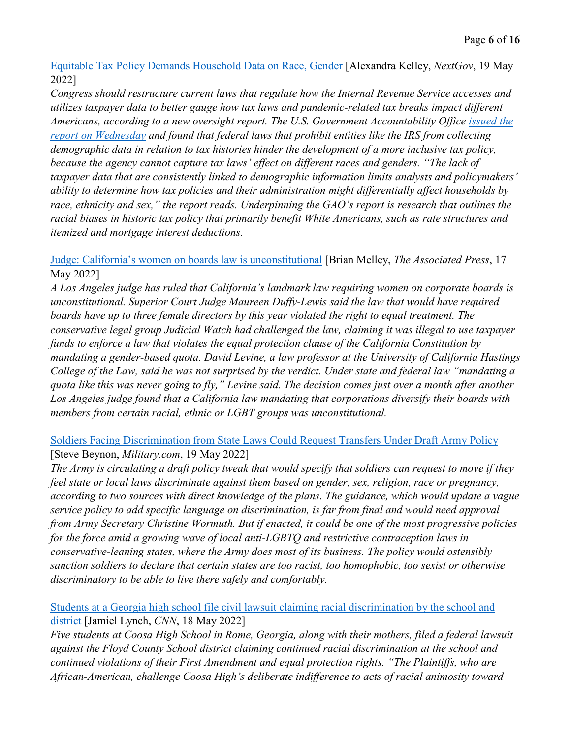[Equitable Tax Policy Demands Household Data on Race, Gender](https://www.nextgov.com/analytics-data/2022/05/equitable-tax-policy-demands-household-data-race-gender/367162/) [Alexandra Kelley, *NextGov*, 19 May 2022]

*Congress should restructure current laws that regulate how the Internal Revenue Service accesses and utilizes taxpayer data to better gauge how tax laws and pandemic-related tax breaks impact different Americans, according to a new oversight report. The U.S. Government Accountability Office [issued the](https://www.gao.gov/assets/gao-22-104553.pdf)  [report on Wednesday](https://www.gao.gov/assets/gao-22-104553.pdf) and found that federal laws that prohibit entities like the IRS from collecting demographic data in relation to tax histories hinder the development of a more inclusive tax policy, because the agency cannot capture tax laws' effect on different races and genders. "The lack of taxpayer data that are consistently linked to demographic information limits analysts and policymakers' ability to determine how tax policies and their administration might differentially affect households by race, ethnicity and sex," the report reads. Underpinning the GAO's report is research that outlines the racial biases in historic tax policy that primarily benefit White Americans, such as rate structures and itemized and mortgage interest deductions.* 

## [Judge: California's women on boards law is unconstitutional](https://apnews.com/article/technology-government-and-politics-california-los-angeles-1ee602b76a4f9707c923a27da5805bcd) [Brian Melley, *The Associated Press*, 17 May 2022]

*A Los Angeles judge has ruled that California's landmark law requiring women on corporate boards is unconstitutional. Superior Court Judge Maureen Duffy-Lewis said the law that would have required boards have up to three female directors by this year violated the right to equal treatment. The conservative legal group Judicial Watch had challenged the law, claiming it was illegal to use taxpayer funds to enforce a law that violates the equal protection clause of the California Constitution by mandating a gender-based quota. David Levine, a law professor at the University of California Hastings College of the Law, said he was not surprised by the verdict. Under state and federal law "mandating a quota like this was never going to fly," Levine said. The decision comes just over a month after another Los Angeles judge found that a California law mandating that corporations diversify their boards with members from certain racial, ethnic or LGBT groups was unconstitutional.* 

## [Soldiers Facing Discrimination from State Laws Could Request Transfers Under Draft Army Policy](https://www.military.com/daily-news/2022/05/19/soldiers-facing-discrimination-state-laws-could-request-transfers-under-draft-army-policy.html) [Steve Beynon, *Military.com*, 19 May 2022]

*The Army is circulating a draft policy tweak that would specify that soldiers can request to move if they feel state or local laws discriminate against them based on gender, sex, religion, race or pregnancy, according to two sources with direct knowledge of the plans. The guidance, which would update a vague service policy to add specific language on discrimination, is far from final and would need approval from Army Secretary Christine Wormuth. But if enacted, it could be one of the most progressive policies for the force amid a growing wave of local anti-LGBTQ and restrictive contraception laws in conservative-leaning states, where the Army does most of its business. The policy would ostensibly sanction soldiers to declare that certain states are too racist, too homophobic, too sexist or otherwise discriminatory to be able to live there safely and comfortably.* 

## [Students at a Georgia high school file civil lawsuit claiming racial discrimination by the school and](https://www.cnn.com/2022/05/17/us/georgia-coosa-high-school-lawsuit-racial-discrimination/index.html)  [district](https://www.cnn.com/2022/05/17/us/georgia-coosa-high-school-lawsuit-racial-discrimination/index.html) [Jamiel Lynch, *CNN*, 18 May 2022]

*Five students at Coosa High School in Rome, Georgia, along with their mothers, filed a federal lawsuit against the Floyd County School district claiming continued racial discrimination at the school and continued violations of their First Amendment and equal protection rights. "The Plaintiffs, who are African-American, challenge Coosa High's deliberate indifference to acts of racial animosity toward*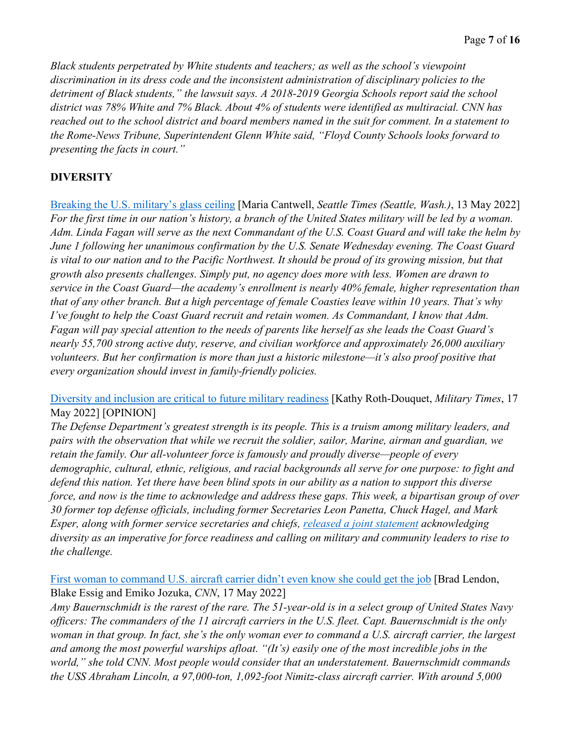*Black students perpetrated by White students and teachers; as well as the school's viewpoint discrimination in its dress code and the inconsistent administration of disciplinary policies to the detriment of Black students," the lawsuit says. A 2018-2019 Georgia Schools report said the school district was 78% White and 7% Black. About 4% of students were identified as multiracial. CNN has reached out to the school district and board members named in the suit for comment. In a statement to the Rome-News Tribune, Superintendent Glenn White said, "Floyd County Schools looks forward to presenting the facts in court."* 

## **DIVERSITY**

[Breaking the U.S. military's glass ceiling](https://www.seattletimes.com/opinion/breaking-the-u-s-militarys-glass-ceiling/) [Maria Cantwell, *Seattle Times (Seattle, Wash.)*, 13 May 2022] *For the first time in our nation's history, a branch of the United States military will be led by a woman. Adm. Linda Fagan will serve as the next Commandant of the U.S. Coast Guard and will take the helm by June 1 following her unanimous confirmation by the U.S. Senate Wednesday evening. The Coast Guard*  is vital to our nation and to the Pacific Northwest. It should be proud of its growing mission, but that *growth also presents challenges. Simply put, no agency does more with less. Women are drawn to service in the Coast Guard—the academy's enrollment is nearly 40% female, higher representation than that of any other branch. But a high percentage of female Coasties leave within 10 years. That's why I've fought to help the Coast Guard recruit and retain women. As Commandant, I know that Adm. Fagan will pay special attention to the needs of parents like herself as she leads the Coast Guard's nearly 55,700 strong active duty, reserve, and civilian workforce and approximately 26,000 auxiliary volunteers. But her confirmation is more than just a historic milestone—it's also proof positive that every organization should invest in family-friendly policies.*

[Diversity and inclusion are critical to future military readiness](https://www.militarytimes.com/opinion/commentary/2022/05/17/diversity-and-inclusion-are-critical-to-future-military-readiness/) [Kathy Roth-Douquet, *Military Times*, 17 May 2022] [OPINION]

*The Defense Department's greatest strength is its people. This is a truism among military leaders, and pairs with the observation that while we recruit the soldier, sailor, Marine, airman and guardian, we retain the family. Our all-volunteer force is famously and proudly diverse—people of every demographic, cultural, ethnic, religious, and racial backgrounds all serve for one purpose: to fight and defend this nation. Yet there have been blind spots in our ability as a nation to support this diverse force, and now is the time to acknowledge and address these gaps. This week, a bipartisan group of over 30 former top defense officials, including former Secretaries Leon Panetta, Chuck Hagel, and Mark Esper, along with former service secretaries and chiefs, [released a joint statement](https://bluestarfam.org/racial-equity-initiative/defense-leaders-statement/) acknowledging diversity as an imperative for force readiness and calling on military and community leaders to rise to the challenge.* 

[First woman to command U.S. aircraft carrier didn't even know she could get the job](https://www.cnn.com/2022/05/16/asia/us-navy-woman-aircraft-carrier-commander-intl-hnk-ml/index.html) [Brad Lendon, Blake Essig and Emiko Jozuka, *CNN*, 17 May 2022]

*Amy Bauernschmidt is the rarest of the rare. The 51-year-old is in a select group of United States Navy officers: The commanders of the 11 aircraft carriers in the U.S. fleet. Capt. Bauernschmidt is the only woman in that group. In fact, she's the only woman ever to command a U.S. aircraft carrier, the largest and among the most powerful warships afloat. "(It's) easily one of the most incredible jobs in the world," she told CNN. Most people would consider that an understatement. Bauernschmidt commands the USS Abraham Lincoln, a 97,000-ton, 1,092-foot Nimitz-class aircraft carrier. With around 5,000*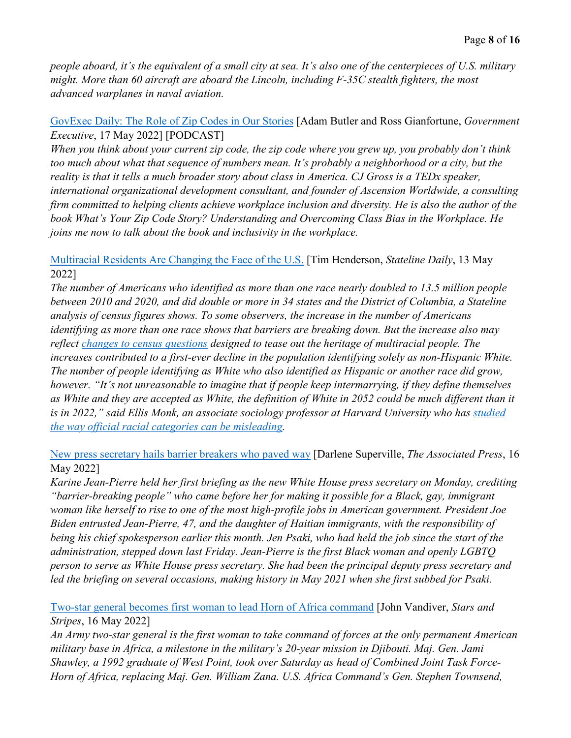*people aboard, it's the equivalent of a small city at sea. It's also one of the centerpieces of U.S. military might. More than 60 aircraft are aboard the Lincoln, including F-35C stealth fighters, the most advanced warplanes in naval aviation.* 

[GovExec Daily: The Role of Zip Codes in Our Stories](https://www.govexec.com/workforce/2022/05/govexec-daily-role-zip-codes-our-stories/366977/) [Adam Butler and Ross Gianfortune, *Government Executive*, 17 May 2022] [PODCAST]

*When you think about your current zip code, the zip code where you grew up, you probably don't think too much about what that sequence of numbers mean. It's probably a neighborhood or a city, but the reality is that it tells a much broader story about class in America. CJ Gross is a TEDx speaker, international organizational development consultant, and founder of Ascension Worldwide, a consulting firm committed to helping clients achieve workplace inclusion and diversity. He is also the author of the book What's Your Zip Code Story? Understanding and Overcoming Class Bias in the Workplace. He joins me now to talk about the book and inclusivity in the workplace.* 

[Multiracial Residents Are Changing the Face of the U.S.](https://www.pewtrusts.org/en/research-and-analysis/blogs/stateline/2022/05/13/multiracial-residents-are-changing-the-face-of-the-us) [Tim Henderson, *Stateline Daily*, 13 May 2022]

*The number of Americans who identified as more than one race nearly doubled to 13.5 million people between 2010 and 2020, and did double or more in 34 states and the District of Columbia, a Stateline analysis of census figures shows. To some observers, the increase in the number of Americans identifying as more than one race shows that barriers are breaking down. But the increase also may reflect [changes to census questions](https://www.census.gov/newsroom/blogs/random-samplings/2021/08/improvements-to-2020-census-race-hispanic-origin-question-designs.html) designed to tease out the heritage of multiracial people. The increases contributed to a first-ever decline in the population identifying solely as non-Hispanic White. The number of people identifying as White who also identified as Hispanic or another race did grow, however. "It's not unreasonable to imagine that if people keep intermarrying, if they define themselves as White and they are accepted as White, the definition of White in 2052 could be much different than it is in 2022," said Ellis Monk, an associate sociology professor at Harvard University who has [studied](https://journals.sagepub.com/doi/abs/10.1177/07352751221076863?journalCode=stxa&)  [the way official racial categories can be misleading.](https://journals.sagepub.com/doi/abs/10.1177/07352751221076863?journalCode=stxa&)* 

[New press secretary hails barrier breakers who paved way](https://apnews.com/article/immigration-biden-government-and-politics-jen-psaki-race-ethnicity-52391f81753921c6ec39ccf64ba65e7b) [Darlene Superville, *The Associated Press*, 16 May 2022]

*Karine Jean-Pierre held her first briefing as the new White House press secretary on Monday, crediting "barrier-breaking people" who came before her for making it possible for a Black, gay, immigrant woman like herself to rise to one of the most high-profile jobs in American government. President Joe Biden entrusted Jean-Pierre, 47, and the daughter of Haitian immigrants, with the responsibility of being his chief spokesperson earlier this month. Jen Psaki, who had held the job since the start of the administration, stepped down last Friday. Jean-Pierre is the first Black woman and openly LGBTQ person to serve as White House press secretary. She had been the principal deputy press secretary and led the briefing on several occasions, making history in May 2021 when she first subbed for Psaki.* 

[Two-star general becomes first woman to lead Horn of Africa command](https://www.stripes.com/branches/army/2022-05-16/horn-of-africa-command-female-general-first-time-6019794.html) [John Vandiver, *Stars and Stripes*, 16 May 2022]

*An Army two-star general is the first woman to take command of forces at the only permanent American military base in Africa, a milestone in the military's 20-year mission in Djibouti. Maj. Gen. Jami Shawley, a 1992 graduate of West Point, took over Saturday as head of Combined Joint Task Force-Horn of Africa, replacing Maj. Gen. William Zana. U.S. Africa Command's Gen. Stephen Townsend,*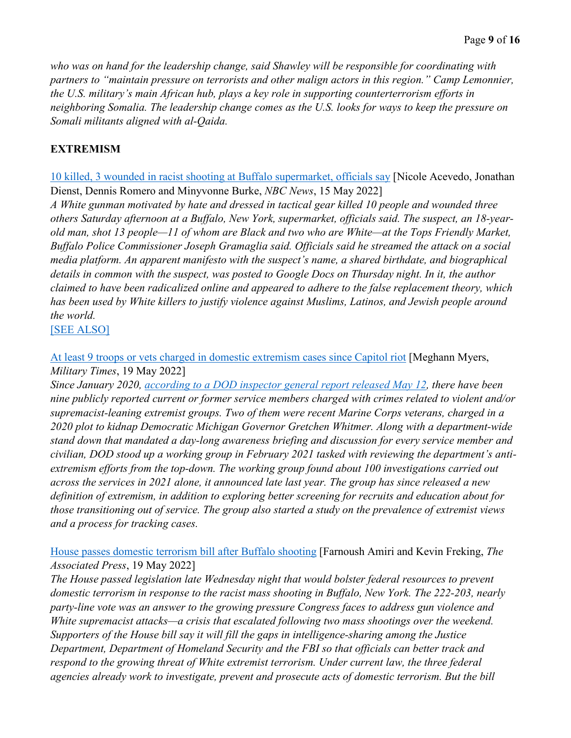*who was on hand for the leadership change, said Shawley will be responsible for coordinating with partners to "maintain pressure on terrorists and other malign actors in this region." Camp Lemonnier, the U.S. military's main African hub, plays a key role in supporting counterterrorism efforts in neighboring Somalia. The leadership change comes as the U.S. looks for ways to keep the pressure on Somali militants aligned with al-Qaida.* 

## **EXTREMISM**

[10 killed, 3 wounded in racist shooting at Buffalo supermarket, officials say](https://www.nbcnews.com/news/us-news/buffalo-supermarket-mass-shooting-leaves-7-dead-law-enforcement-source-rcna28883) [Nicole Acevedo, Jonathan Dienst, Dennis Romero and Minyvonne Burke, *NBC News*, 15 May 2022]

*A White gunman motivated by hate and dressed in tactical gear killed 10 people and wounded three others Saturday afternoon at a Buffalo, New York, supermarket, officials said. The suspect, an 18-yearold man, shot 13 people—11 of whom are Black and two who are White—at the Tops Friendly Market, Buffalo Police Commissioner Joseph Gramaglia said. Officials said he streamed the attack on a social media platform. An apparent manifesto with the suspect's name, a shared birthdate, and biographical details in common with the suspect, was posted to Google Docs on Thursday night. In it, the author claimed to have been radicalized online and appeared to adhere to the false replacement theory, which has been used by White killers to justify violence against Muslims, Latinos, and Jewish people around the world.* 

[\[SEE ALSO\]](https://apnews.com/article/buffalo-supermarket-shooting-gunman-radicalization-2669f6fd9dce881b150577eae885e44f)

[At least 9 troops or vets charged in domestic extremism cases since Capitol riot](https://www.militarytimes.com/news/pentagon-congress/2022/05/19/at-least-9-troops-or-vets-charged-in-domestic-extremism-cases-since-capitol-riot/) [Meghann Myers, *Military Times*, 19 May 2022]

*Since January 2020, [according to a DOD inspector general report released May 12,](https://www.dodig.mil/reports.html/Article/3028919/evaluation-of-department-of-defense-efforts-to-address-ideological-extremism-wi/) there have been nine publicly reported current or former service members charged with crimes related to violent and/or supremacist-leaning extremist groups. Two of them were recent Marine Corps veterans, charged in a 2020 plot to kidnap Democratic Michigan Governor Gretchen Whitmer. Along with a department-wide stand down that mandated a day-long awareness briefing and discussion for every service member and civilian, DOD stood up a working group in February 2021 tasked with reviewing the department's antiextremism efforts from the top-down. The working group found about 100 investigations carried out across the services in 2021 alone, it announced late last year. The group has since released a new definition of extremism, in addition to exploring better screening for recruits and education about for those transitioning out of service. The group also started a study on the prevalence of extremist views and a process for tracking cases.*

[House passes domestic terrorism bill after Buffalo shooting](https://apnews.com/article/shootings-new-york-voting-buffalo-gun-politics-f30b5f51f239fa776726efe077be008d) [Farnoush Amiri and Kevin Freking, *The Associated Press*, 19 May 2022]

*The House passed legislation late Wednesday night that would bolster federal resources to prevent domestic terrorism in response to the racist mass shooting in Buffalo, New York. The 222-203, nearly party-line vote was an answer to the growing pressure Congress faces to address gun violence and White supremacist attacks—a crisis that escalated following two mass shootings over the weekend. Supporters of the House bill say it will fill the gaps in intelligence-sharing among the Justice Department, Department of Homeland Security and the FBI so that officials can better track and respond to the growing threat of White extremist terrorism. Under current law, the three federal agencies already work to investigate, prevent and prosecute acts of domestic terrorism. But the bill*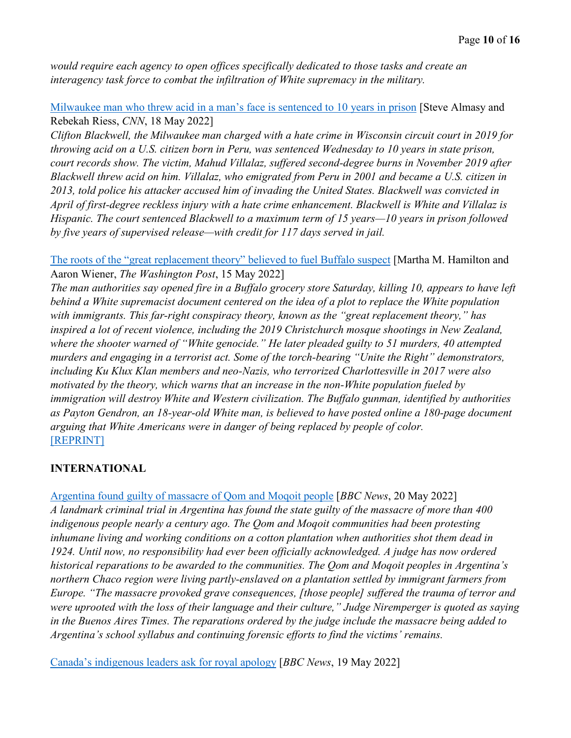*would require each agency to open offices specifically dedicated to those tasks and create an interagency task force to combat the infiltration of White supremacy in the military.* 

[Milwaukee man who threw acid in a man's face is sentenced to 10 years in prison](https://www.cnn.com/2022/05/18/us/milwaukee-acid-attack-sentence/index.html) [Steve Almasy and Rebekah Riess, *CNN*, 18 May 2022]

*Clifton Blackwell, the Milwaukee man charged with a hate crime in Wisconsin circuit court in 2019 for throwing acid on a U.S. citizen born in Peru, was sentenced Wednesday to 10 years in state prison, court records show. The victim, Mahud Villalaz, suffered second-degree burns in November 2019 after Blackwell threw acid on him. Villalaz, who emigrated from Peru in 2001 and became a U.S. citizen in 2013, told police his attacker accused him of invading the United States. Blackwell was convicted in April of first-degree reckless injury with a hate crime enhancement. Blackwell is White and Villalaz is Hispanic. The court sentenced Blackwell to a maximum term of 15 years—10 years in prison followed by five years of supervised release—with credit for 117 days served in jail.* 

[The roots of the "great replacement theory" believed to fuel Buffalo suspect](https://www.washingtonpost.com/history/2022/05/15/great-replacement-theory-buffalo-bilbo/) [Martha M. Hamilton and Aaron Wiener, *The Washington Post*, 15 May 2022]

*The man authorities say opened fire in a Buffalo grocery store Saturday, killing 10, appears to have left behind a White supremacist document centered on the idea of a plot to replace the White population with immigrants. This far-right conspiracy theory, known as the "great replacement theory," has inspired a lot of recent violence, including the 2019 Christchurch mosque shootings in New Zealand, where the shooter warned of "White genocide." He later pleaded guilty to 51 murders, 40 attempted murders and engaging in a terrorist act. Some of the torch-bearing "Unite the Right" demonstrators, including Ku Klux Klan members and neo-Nazis, who terrorized Charlottesville in 2017 were also motivated by the theory, which warns that an increase in the non-White population fueled by immigration will destroy White and Western civilization. The Buffalo gunman, identified by authorities as Payton Gendron, an 18-year-old White man, is believed to have posted online a 180-page document arguing that White Americans were in danger of being replaced by people of color.*  [\[REPRINT\]](https://www.stripes.com/history/2022-05-16/great-replacement-theory-believed-fuel-buffalo-shooter-6022414.html)

## **INTERNATIONAL**

[Argentina found guilty of massacre of Qom and Moqoit people](https://www.bbc.com/news/world-latin-america-61519794) [*BBC News*, 20 May 2022] *A landmark criminal trial in Argentina has found the state guilty of the massacre of more than 400 indigenous people nearly a century ago. The Qom and Moqoit communities had been protesting inhumane living and working conditions on a cotton plantation when authorities shot them dead in 1924. Until now, no responsibility had ever been officially acknowledged. A judge has now ordered historical reparations to be awarded to the communities. The Qom and Moqoit peoples in Argentina's northern Chaco region were living partly-enslaved on a plantation settled by immigrant farmers from Europe. "The massacre provoked grave consequences, [those people] suffered the trauma of terror and were uprooted with the loss of their language and their culture," Judge Niremperger is quoted as saying in the Buenos Aires Times. The reparations ordered by the judge include the massacre being added to Argentina's school syllabus and continuing forensic efforts to find the victims' remains.*

[Canada's indigenous leaders ask for royal apology](https://www.bbc.com/news/uk-61505852) [*BBC News*, 19 May 2022]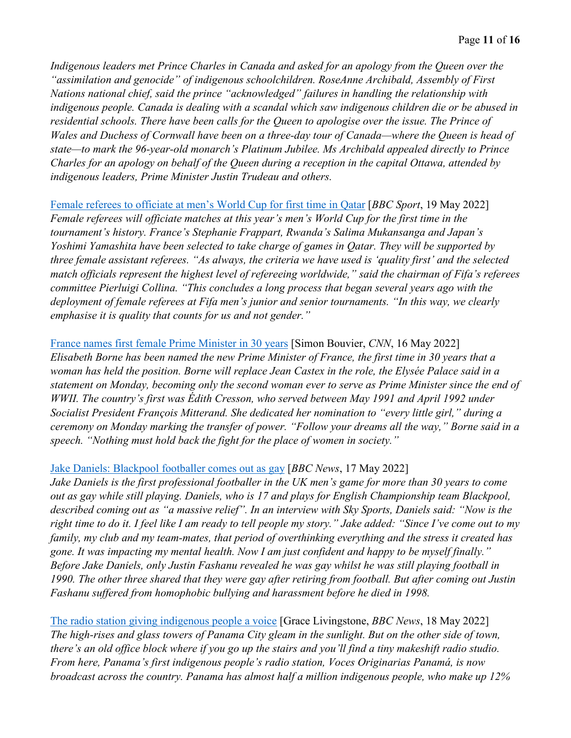*Indigenous leaders met Prince Charles in Canada and asked for an apology from the Queen over the "assimilation and genocide" of indigenous schoolchildren. RoseAnne Archibald, Assembly of First Nations national chief, said the prince "acknowledged" failures in handling the relationship with indigenous people. Canada is dealing with a scandal which saw indigenous children die or be abused in residential schools. There have been calls for the Queen to apologise over the issue. The Prince of Wales and Duchess of Cornwall have been on a three-day tour of Canada—where the Queen is head of state—to mark the 96-year-old monarch's Platinum Jubilee. Ms Archibald appealed directly to Prince Charles for an apology on behalf of the Queen during a reception in the capital Ottawa, attended by indigenous leaders, Prime Minister Justin Trudeau and others.* 

[Female referees to officiate at men's World Cup for first time in Qatar](https://www.bbc.com/sport/football/61508814) [*BBC Sport*, 19 May 2022] *Female referees will officiate matches at this year's men's World Cup for the first time in the tournament's history. France's Stephanie Frappart, Rwanda's Salima Mukansanga and Japan's Yoshimi Yamashita have been selected to take charge of games in Qatar. They will be supported by three female assistant referees. "As always, the criteria we have used is 'quality first' and the selected match officials represent the highest level of refereeing worldwide," said the chairman of Fifa's referees committee Pierluigi Collina. "This concludes a long process that began several years ago with the deployment of female referees at Fifa men's junior and senior tournaments. "In this way, we clearly emphasise it is quality that counts for us and not gender."* 

#### [France names first female Prime Minister in 30 years](https://www.cnn.com/2022/05/16/europe/france-female-prime-minister-intl/index.html) [Simon Bouvier, *CNN*, 16 May 2022]

*Elisabeth Borne has been named the new Prime Minister of France, the first time in 30 years that a woman has held the position. Borne will replace Jean Castex in the role, the Elysée Palace said in a statement on Monday, becoming only the second woman ever to serve as Prime Minister since the end of WWII. The country's first was Edith Cresson, who served between May 1991 and April 1992 under Socialist President François Mitterand. She dedicated her nomination to "every little girl," during a ceremony on Monday marking the transfer of power. "Follow your dreams all the way," Borne said in a speech. "Nothing must hold back the fight for the place of women in society."* 

#### [Jake Daniels: Blackpool footballer comes out as gay](https://www.bbc.co.uk/newsround/61472174) [*BBC News*, 17 May 2022]

*Jake Daniels is the first professional footballer in the UK men's game for more than 30 years to come out as gay while still playing. Daniels, who is 17 and plays for English Championship team Blackpool, described coming out as "a massive relief". In an interview with Sky Sports, Daniels said: "Now is the right time to do it. I feel like I am ready to tell people my story." Jake added: "Since I've come out to my family, my club and my team-mates, that period of overthinking everything and the stress it created has gone. It was impacting my mental health. Now I am just confident and happy to be myself finally." Before Jake Daniels, only Justin Fashanu revealed he was gay whilst he was still playing football in 1990. The other three shared that they were gay after retiring from football. But after coming out Justin Fashanu suffered from homophobic bullying and harassment before he died in 1998.* 

[The radio station giving indigenous people a voice](https://www.bbc.com/news/business-61479993) [Grace Livingstone, *BBC News*, 18 May 2022] *The high-rises and glass towers of Panama City gleam in the sunlight. But on the other side of town, there's an old office block where if you go up the stairs and you'll find a tiny makeshift radio studio. From here, Panama's first indigenous people's radio station, Voces Originarias Panamá, is now broadcast across the country. Panama has almost half a million indigenous people, who make up 12%*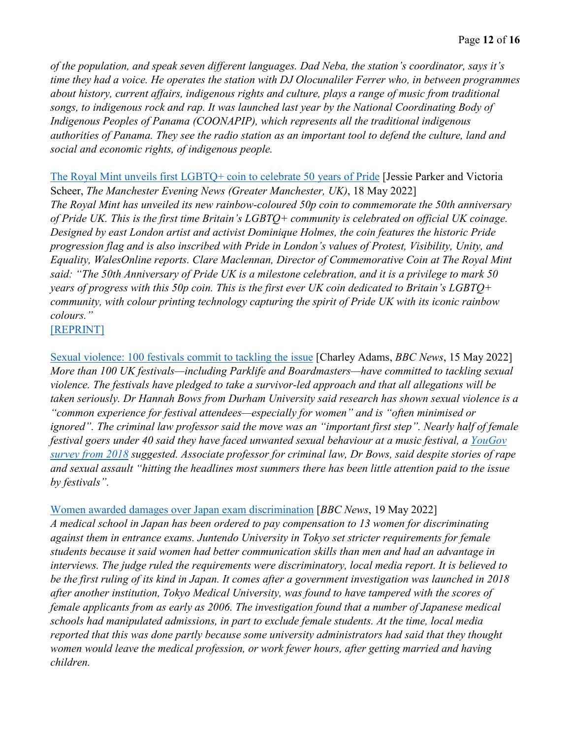*of the population, and speak seven different languages. Dad Neba, the station's coordinator, says it's time they had a voice. He operates the station with DJ Olocunaliler Ferrer who, in between programmes about history, current affairs, indigenous rights and culture, plays a range of music from traditional songs, to indigenous rock and rap. It was launched last year by the National Coordinating Body of Indigenous Peoples of Panama (COONAPIP), which represents all the traditional indigenous authorities of Panama. They see the radio station as an important tool to defend the culture, land and social and economic rights, of indigenous people.* 

[The Royal Mint unveils first LGBTQ+ coin to celebrate 50 years of Pride](https://www.manchestereveningnews.co.uk/news/uk-news/royal-mint-unveils-first-lgbtq-23991064) [Jessie Parker and Victoria Scheer, *The Manchester Evening News (Greater Manchester, UK)*, 18 May 2022] *The Royal Mint has unveiled its new rainbow-coloured 50p coin to commemorate the 50th anniversary of Pride UK. This is the first time Britain's LGBTQ+ community is celebrated on official UK coinage. Designed by east London artist and activist Dominique Holmes, the coin features the historic Pride progression flag and is also inscribed with Pride in London's values of Protest, Visibility, Unity, and Equality, WalesOnline reports. Clare Maclennan, Director of Commemorative Coin at The Royal Mint said: "The 50th Anniversary of Pride UK is a milestone celebration, and it is a privilege to mark 50 years of progress with this 50p coin. This is the first ever UK coin dedicated to Britain's LGBTQ+ community, with colour printing technology capturing the spirit of Pride UK with its iconic rainbow colours."* 

[\[REPRINT\]](https://news.yahoo.com/royal-mint-50p-pride-coin-lgbtq-113623926.html)

[Sexual violence: 100 festivals commit to tackling the issue](https://www.bbc.com/news/uk-61460338) [Charley Adams, *BBC News*, 15 May 2022] *More than 100 UK festivals—including Parklife and Boardmasters—have committed to tackling sexual violence. The festivals have pledged to take a survivor-led approach and that all allegations will be taken seriously. Dr Hannah Bows from Durham University said research has shown sexual violence is a "common experience for festival attendees—especially for women" and is "often minimised or ignored". The criminal law professor said the move was an "important first step". Nearly half of female festival goers under 40 said they have faced unwanted sexual behaviour at a music festival, a [YouGov](https://www.bbc.com/news/entertainment-arts-44518892)  [survey from 2018](https://www.bbc.com/news/entertainment-arts-44518892) suggested. Associate professor for criminal law, Dr Bows, said despite stories of rape and sexual assault "hitting the headlines most summers there has been little attention paid to the issue by festivals".* 

## [Women awarded damages over Japan exam discrimination](https://www.bbc.com/news/world-asia-61506568) [*BBC News*, 19 May 2022]

*A medical school in Japan has been ordered to pay compensation to 13 women for discriminating against them in entrance exams. Juntendo University in Tokyo set stricter requirements for female students because it said women had better communication skills than men and had an advantage in interviews. The judge ruled the requirements were discriminatory, local media report. It is believed to be the first ruling of its kind in Japan. It comes after a government investigation was launched in 2018 after another institution, Tokyo Medical University, was found to have tampered with the scores of female applicants from as early as 2006. The investigation found that a number of Japanese medical schools had manipulated admissions, in part to exclude female students. At the time, local media reported that this was done partly because some university administrators had said that they thought women would leave the medical profession, or work fewer hours, after getting married and having children.*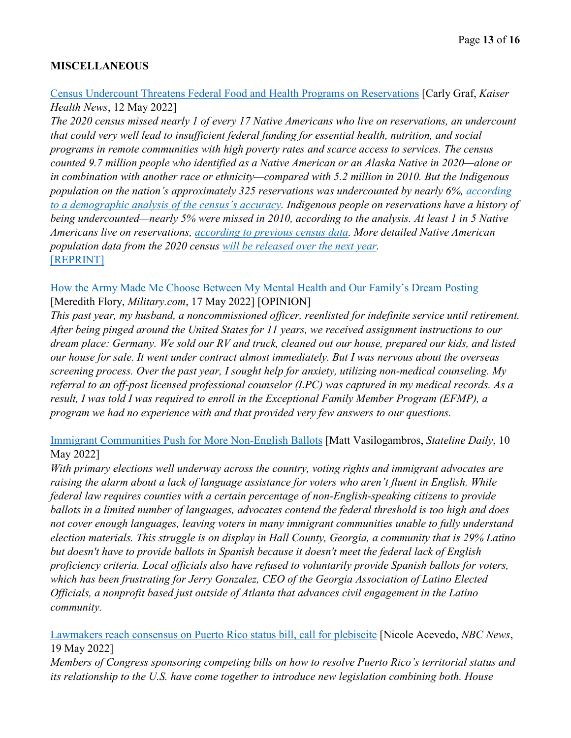## **MISCELLANEOUS**

[Census Undercount Threatens Federal Food and Health Programs on Reservations](https://khn.org/news/article/census-native-american-undercount-threatens-food-health-programs-reservations/) [Carly Graf, *Kaiser Health News*, 12 May 2022]

*The 2020 census missed nearly 1 of every 17 Native Americans who live on reservations, an undercount that could very well lead to insufficient federal funding for essential health, nutrition, and social programs in remote communities with high poverty rates and scarce access to services. The census counted 9.7 million people who identified as a Native American or an Alaska Native in 2020—alone or in combination with another race or ethnicity—compared with 5.2 million in 2010. But the Indigenous population on the nation's approximately 325 reservations was undercounted by nearly 6%, [according](https://www.census.gov/newsroom/press-releases/2022/2020-census-estimates-of-undercount-and-overcount.html)  [to a demographic analysis of the census's accuracy.](https://www.census.gov/newsroom/press-releases/2022/2020-census-estimates-of-undercount-and-overcount.html) Indigenous people on reservations have a history of being undercounted—nearly 5% were missed in 2010, according to the analysis. At least 1 in 5 Native Americans live on reservations, [according to previous census data.](https://minorityhealth.hhs.gov/omh/browse.aspx?lvl=3&lvlid=62) More detailed Native American population data from the 2020 census [will be released over the next year.](https://www.census.gov/newsroom/blogs/random-samplings/2022/04/2020-census-detailed-race-ethnic-tribal-data.html)*  [\[REPRINT\]](https://www.govexec.com/management/2022/05/census-undercount-threatens-federal-food-and-health-programs-reservations/366853/)

## [How the Army Made Me Choose Between My Mental Health and Our Family's Dream Posting](https://www.military.com/daily-news/opinions/2022/05/17/how-army-made-me-choose-between-my-mental-health-and-our-familys-dream-posting.html) [Meredith Flory, *Military.com*, 17 May 2022] [OPINION]

*This past year, my husband, a noncommissioned officer, reenlisted for indefinite service until retirement. After being pinged around the United States for 11 years, we received assignment instructions to our dream place: Germany. We sold our RV and truck, cleaned out our house, prepared our kids, and listed our house for sale. It went under contract almost immediately. But I was nervous about the overseas screening process. Over the past year, I sought help for anxiety, utilizing non-medical counseling. My referral to an off-post licensed professional counselor (LPC) was captured in my medical records. As a result, I was told I was required to enroll in the Exceptional Family Member Program (EFMP), a program we had no experience with and that provided very few answers to our questions.* 

[Immigrant Communities Push for More Non-English Ballots](https://www.pewtrusts.org/en/research-and-analysis/blogs/stateline/2022/05/10/immigrant-communities-push-for-more-non-english-ballots) [Matt Vasilogambros, *Stateline Daily*, 10 May 2022]

*With primary elections well underway across the country, voting rights and immigrant advocates are raising the alarm about a lack of language assistance for voters who aren't fluent in English. While federal law requires counties with a certain percentage of non-English-speaking citizens to provide ballots in a limited number of languages, advocates contend the federal threshold is too high and does not cover enough languages, leaving voters in many immigrant communities unable to fully understand election materials. This struggle is on display in Hall County, Georgia, a community that is 29% Latino but doesn't have to provide ballots in Spanish because it doesn't meet the federal lack of English proficiency criteria. Local officials also have refused to voluntarily provide Spanish ballots for voters, which has been frustrating for Jerry Gonzalez, CEO of the Georgia Association of Latino Elected Officials, a nonprofit based just outside of Atlanta that advances civil engagement in the Latino community.* 

[Lawmakers reach consensus on Puerto Rico status bill, call for plebiscite](https://www.nbcnews.com/news/latino/congressional-lawmakers-reach-consensus-puerto-rico-status-bill-call-p-rcna29672) [Nicole Acevedo, *NBC News*, 19 May 2022]

*Members of Congress sponsoring competing bills on how to resolve Puerto Rico's territorial status and its relationship to the U.S. have come together to introduce new legislation combining both. House*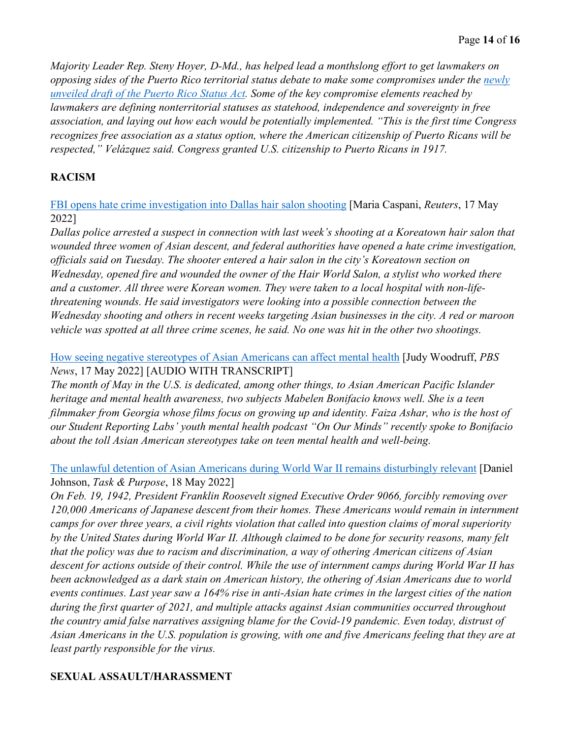*Majority Leader Rep. Steny Hoyer, D-Md., has helped lead a monthslong effort to get lawmakers on opposing sides of the Puerto Rico territorial status debate to make some compromises under the newly [unveiled draft of the Puerto Rico Status Act.](https://s3.amazonaws.com/static.popvox.com/pages/Puerto-rico-status-discussion-draft) Some of the key compromise elements reached by lawmakers are defining nonterritorial statuses as statehood, independence and sovereignty in free association, and laying out how each would be potentially implemented. "This is the first time Congress recognizes free association as a status option, where the American citizenship of Puerto Ricans will be respected," Velázquez said. Congress granted U.S. citizenship to Puerto Ricans in 1917.* 

## **RACISM**

[FBI opens hate crime investigation into Dallas hair salon shooting](https://www.reuters.com/world/us/suspect-arrested-koreatown-salon-shooting-dallas-police-say-2022-05-17/) [Maria Caspani, *Reuters*, 17 May 2022]

*Dallas police arrested a suspect in connection with last week's shooting at a Koreatown hair salon that wounded three women of Asian descent, and federal authorities have opened a hate crime investigation, officials said on Tuesday. The shooter entered a hair salon in the city's Koreatown section on Wednesday, opened fire and wounded the owner of the Hair World Salon, a stylist who worked there and a customer. All three were Korean women. They were taken to a local hospital with non-lifethreatening wounds. He said investigators were looking into a possible connection between the Wednesday shooting and others in recent weeks targeting Asian businesses in the city. A red or maroon vehicle was spotted at all three crime scenes, he said. No one was hit in the other two shootings.* 

[How seeing negative stereotypes of Asian Americans can affect mental health](https://www.pbs.org/newshour/show/how-seeing-negative-stereotypes-of-asian-americans-can-affect-mental-health) [Judy Woodruff, *PBS News*, 17 May 2022] [AUDIO WITH TRANSCRIPT]

*The month of May in the U.S. is dedicated, among other things, to Asian American Pacific Islander heritage and mental health awareness, two subjects Mabelen Bonifacio knows well. She is a teen filmmaker from Georgia whose films focus on growing up and identity. Faiza Ashar, who is the host of our Student Reporting Labs' youth mental health podcast "On Our Minds" recently spoke to Bonifacio about the toll Asian American stereotypes take on teen mental health and well-being.* 

[The unlawful detention of Asian Americans during World War II remains disturbingly relevant](https://taskandpurpose.com/history/wwii-internment-camps/) [Daniel Johnson, *Task & Purpose*, 18 May 2022]

*On Feb. 19, 1942, President Franklin Roosevelt signed Executive Order 9066, forcibly removing over 120,000 Americans of Japanese descent from their homes. These Americans would remain in internment camps for over three years, a civil rights violation that called into question claims of moral superiority by the United States during World War II. Although claimed to be done for security reasons, many felt that the policy was due to racism and discrimination, a way of othering American citizens of Asian descent for actions outside of their control. While the use of internment camps during World War II has been acknowledged as a dark stain on American history, the othering of Asian Americans due to world events continues. Last year saw a 164% rise in anti-Asian hate crimes in the largest cities of the nation during the first quarter of 2021, and multiple attacks against Asian communities occurred throughout the country amid false narratives assigning blame for the Covid-19 pandemic. Even today, distrust of Asian Americans in the U.S. population is growing, with one and five Americans feeling that they are at least partly responsible for the virus.* 

## **SEXUAL ASSAULT/HARASSMENT**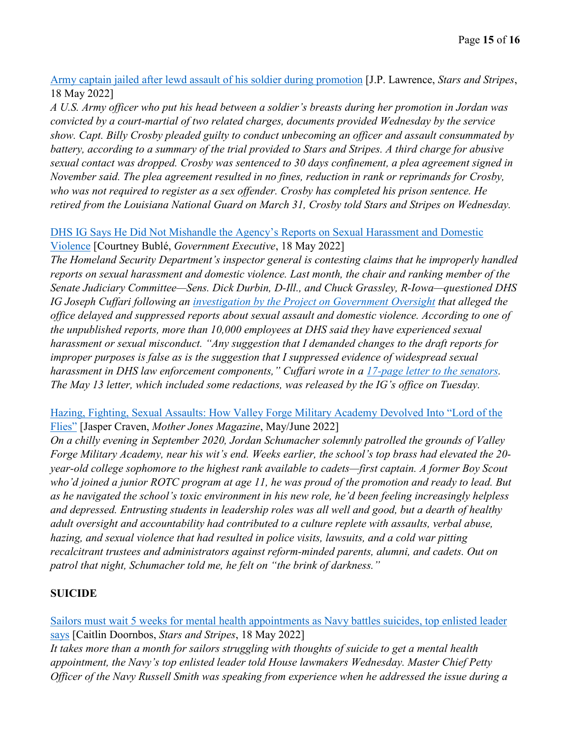[Army captain jailed after lewd assault of his soldier during promotion](https://www.stripes.com/branches/army/2022-05-18/army-kuwait-jordan-court-martial-6047553.html) [J.P. Lawrence, *Stars and Stripes*, 18 May 2022]

*A U.S. Army officer who put his head between a soldier's breasts during her promotion in Jordan was convicted by a court-martial of two related charges, documents provided Wednesday by the service show. Capt. Billy Crosby pleaded guilty to conduct unbecoming an officer and assault consummated by battery, according to a summary of the trial provided to Stars and Stripes. A third charge for abusive sexual contact was dropped. Crosby was sentenced to 30 days confinement, a plea agreement signed in November said. The plea agreement resulted in no fines, reduction in rank or reprimands for Crosby, who was not required to register as a sex offender. Crosby has completed his prison sentence. He retired from the Louisiana National Guard on March 31, Crosby told Stars and Stripes on Wednesday.* 

#### [DHS IG Says He Did Not Mishandle the Agency's Reports on Sexual Harassment and Domestic](https://www.govexec.com/oversight/2022/05/DHS-ig-says-he-did-not-mishandle-agencys-reports-sexual-harassment-and-domestic-violence/367118/)  [Violence](https://www.govexec.com/oversight/2022/05/DHS-ig-says-he-did-not-mishandle-agencys-reports-sexual-harassment-and-domestic-violence/367118/) [Courtney Bublé, *Government Executive*, 18 May 2022]

*The Homeland Security Department's inspector general is contesting claims that he improperly handled reports on sexual harassment and domestic violence. Last month, the chair and ranking member of the Senate Judiciary Committee—Sens. Dick Durbin, D-Ill., and Chuck Grassley, R-Iowa—questioned DHS IG Joseph Cuffari following an [investigation by the Project on Government Oversight](https://www.pogo.org/investigation/2022/04/protecting-the-predators-at-dhs) that alleged the office delayed and suppressed reports about sexual assault and domestic violence. According to one of the unpublished reports, more than 10,000 employees at DHS said they have experienced sexual harassment or sexual misconduct. "Any suggestion that I demanded changes to the draft reports for improper purposes is false as is the suggestion that I suppressed evidence of widespread sexual harassment in DHS law enforcement components," Cuffari wrote in a [17-page letter to the senators.](https://www.oig.dhs.gov/sites/default/files/IG-Cuffari-response-to-Chair-Durbin-and-RM-Grassley-20220513-Redacted.pdf) The May 13 letter, which included some redactions, was released by the IG's office on Tuesday.* 

## [Hazing, Fighting, Sexual Assaults: How Valley Forge Military Academy Devolved Into "Lord of the](https://www.motherjones.com/politics/2022/04/valley-forge-military-academy-problems-hazing-sexual-assault-lawsuits/)  [Flies"](https://www.motherjones.com/politics/2022/04/valley-forge-military-academy-problems-hazing-sexual-assault-lawsuits/) [Jasper Craven, *Mother Jones Magazine*, May/June 2022]

*On a chilly evening in September 2020, Jordan Schumacher solemnly patrolled the grounds of Valley Forge Military Academy, near his wit's end. Weeks earlier, the school's top brass had elevated the 20 year-old college sophomore to the highest rank available to cadets—first captain. A former Boy Scout who'd joined a junior ROTC program at age 11, he was proud of the promotion and ready to lead. But as he navigated the school's toxic environment in his new role, he'd been feeling increasingly helpless and depressed. Entrusting students in leadership roles was all well and good, but a dearth of healthy adult oversight and accountability had contributed to a culture replete with assaults, verbal abuse, hazing, and sexual violence that had resulted in police visits, lawsuits, and a cold war pitting recalcitrant trustees and administrators against reform-minded parents, alumni, and cadets. Out on patrol that night, Schumacher told me, he felt on "the brink of darkness."* 

## **SUICIDE**

[Sailors must wait 5 weeks for mental health appointments as Navy battles suicides, top enlisted leader](https://www.stripes.com/branches/navy/2022-05-18/george-washington-aircraft-carrier-sailors-suicides-navy-6049477.html)  [says](https://www.stripes.com/branches/navy/2022-05-18/george-washington-aircraft-carrier-sailors-suicides-navy-6049477.html) [Caitlin Doornbos, *Stars and Stripes*, 18 May 2022]

*It takes more than a month for sailors struggling with thoughts of suicide to get a mental health appointment, the Navy's top enlisted leader told House lawmakers Wednesday. Master Chief Petty Officer of the Navy Russell Smith was speaking from experience when he addressed the issue during a*